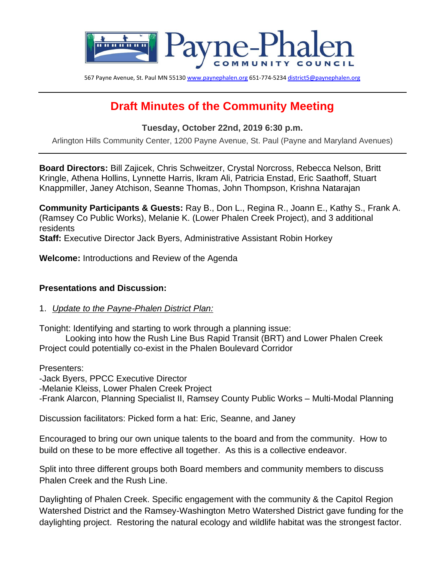

567 Payne Avenue, St. Paul MN 5513[0 www.paynephalen.org](http://www.paynephalen.org/) 651-774-523[4 district5@paynephalen.org](mailto:district5@paynephalen.org)

# **Draft Minutes of the Community Meeting**

**Tuesday, October 22nd, 2019 6:30 p.m.**

Arlington Hills Community Center, 1200 Payne Avenue, St. Paul (Payne and Maryland Avenues)

**Board Directors:** Bill Zajicek, Chris Schweitzer, Crystal Norcross, Rebecca Nelson, Britt Kringle, Athena Hollins, Lynnette Harris, Ikram Ali, Patricia Enstad, Eric Saathoff, Stuart Knappmiller, Janey Atchison, Seanne Thomas, John Thompson, Krishna Natarajan

**Community Participants & Guests:** Ray B., Don L., Regina R., Joann E., Kathy S., Frank A. (Ramsey Co Public Works), Melanie K. (Lower Phalen Creek Project), and 3 additional residents

**Staff:** Executive Director Jack Byers, Administrative Assistant Robin Horkey

**Welcome:** Introductions and Review of the Agenda

#### **Presentations and Discussion:**

#### 1. *Update to the Payne-Phalen District Plan:*

Tonight: Identifying and starting to work through a planning issue:

Looking into how the Rush Line Bus Rapid Transit (BRT) and Lower Phalen Creek Project could potentially co-exist in the Phalen Boulevard Corridor

Presenters:

-Jack Byers, PPCC Executive Director

-Melanie Kleiss, Lower Phalen Creek Project

-Frank Alarcon, Planning Specialist II, Ramsey County Public Works – Multi-Modal Planning

Discussion facilitators: Picked form a hat: Eric, Seanne, and Janey

Encouraged to bring our own unique talents to the board and from the community. How to build on these to be more effective all together. As this is a collective endeavor.

Split into three different groups both Board members and community members to discuss Phalen Creek and the Rush Line.

Daylighting of Phalen Creek. Specific engagement with the community & the Capitol Region Watershed District and the Ramsey-Washington Metro Watershed District gave funding for the daylighting project. Restoring the natural ecology and wildlife habitat was the strongest factor.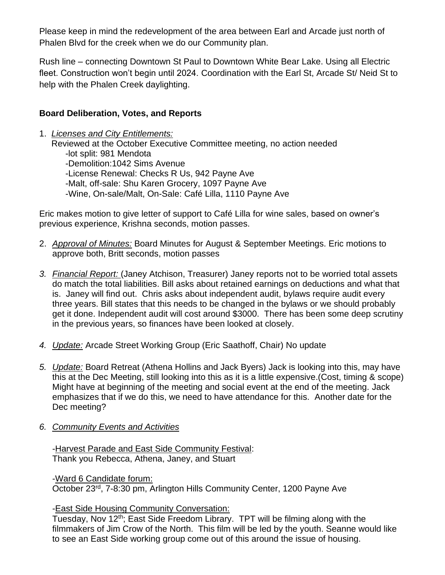Please keep in mind the redevelopment of the area between Earl and Arcade just north of Phalen Blvd for the creek when we do our Community plan.

Rush line – connecting Downtown St Paul to Downtown White Bear Lake. Using all Electric fleet. Construction won't begin until 2024. Coordination with the Earl St, Arcade St/ Neid St to help with the Phalen Creek daylighting.

## **Board Deliberation, Votes, and Reports**

1. *Licenses and City Entitlements:* Reviewed at the October Executive Committee meeting, no action needed -lot split: 981 Mendota -Demolition:1042 Sims Avenue -License Renewal: Checks R Us, 942 Payne Ave -Malt, off-sale: Shu Karen Grocery, 1097 Payne Ave -Wine, On-sale/Malt, On-Sale: Café Lilla, 1110 Payne Ave

Eric makes motion to give letter of support to Café Lilla for wine sales, based on owner's previous experience, Krishna seconds, motion passes.

- 2. *Approval of Minutes:* Board Minutes for August & September Meetings. Eric motions to approve both, Britt seconds, motion passes
- *3. Financial Report:* (Janey Atchison, Treasurer) Janey reports not to be worried total assets do match the total liabilities. Bill asks about retained earnings on deductions and what that is. Janey will find out. Chris asks about independent audit, bylaws require audit every three years. Bill states that this needs to be changed in the bylaws or we should probably get it done. Independent audit will cost around \$3000. There has been some deep scrutiny in the previous years, so finances have been looked at closely.
- *4. Update:* Arcade Street Working Group (Eric Saathoff, Chair) No update
- *5. Update:* Board Retreat (Athena Hollins and Jack Byers) Jack is looking into this, may have this at the Dec Meeting, still looking into this as it is a little expensive.(Cost, timing & scope) Might have at beginning of the meeting and social event at the end of the meeting. Jack emphasizes that if we do this, we need to have attendance for this. Another date for the Dec meeting?
- *6. Community Events and Activities*

-Harvest Parade and East Side Community Festival: Thank you Rebecca, Athena, Janey, and Stuart

-Ward 6 Candidate forum: October 23rd, 7-8:30 pm, Arlington Hills Community Center, 1200 Payne Ave

-East Side Housing Community Conversation:

Tuesday, Nov 12th; East Side Freedom Library. TPT will be filming along with the filmmakers of Jim Crow of the North. This film will be led by the youth. Seanne would like to see an East Side working group come out of this around the issue of housing.